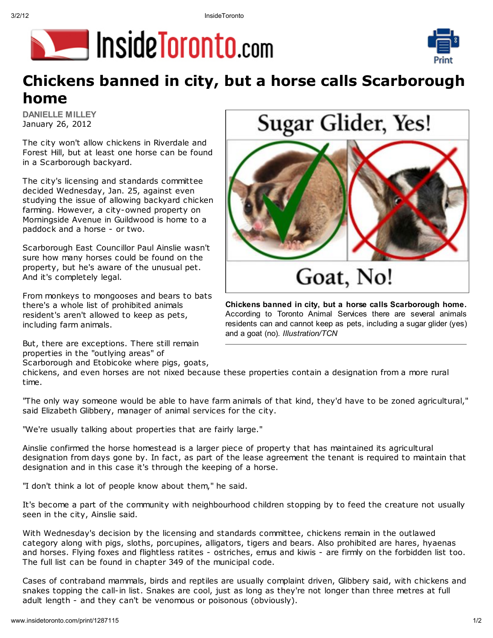



## Chickens banned in city, but a horse calls Scarborough home

DANIELLE MILLEY January 26, 2012

The city won't allow chickens in Riverdale and Forest Hill, but at least one horse can be found in a Scarborough backyard.

The city's licensing and standards committee decided Wednesday, Jan. 25, against even studying the issue of allowing backyard chicken farming. However, a city-owned property on Morningside Avenue in Guildwood is home to a paddock and a horse - or two.

Scarborough East Councillor Paul Ainslie wasn't sure how many horses could be found on the property, but he's aware of the unusual pet. And it's completely legal.

From monkeys to mongooses and bears to bats there's a whole list of prohibited animals resident's aren't allowed to keep as pets, including farm animals.

But, there are exceptions. There still remain properties in the "outlying areas" of

Scarborough and Etobicoke where pigs, goats,

chickens, and even horses are not nixed because these properties contain a designation from a more rural time.

"The only way someone would be able to have farm animals of that kind, they'd have to be zoned agricultural," said Elizabeth Glibbery, manager of animal services for the city.

and a goat (no). Illustration/TCN

"We're usually talking about properties that are fairly large."

Ainslie confirmed the horse homestead is a larger piece of property that has maintained its agricultural designation from days gone by. In fact, as part of the lease agreement the tenant is reguired to maintain that designation and in this case it's through the keeping of a horse.

"I don't think a lot of people know about them," he said.

It's become a part of the community with neighbourhood children stopping by to feed the creature not usually seen in the city, Ainslie said.

With Wednesday's decision by the licensing and standards committee, chickens remain in the outlawed category along with pigs, sloths, porcupines, alligators, tigers and bears. Also prohibited are hares, hyaenas and horses. Flying foxes and flightless ratites - ostriches, emus and kiwis - are firmly on the forbidden list too. The full list can be found in chapter 349 of the municipal code.

Cases of contraband mammals, birds and reptiles are usually complaint driven, Glibbery said, with chickens and snakes topping the call-in list. Snakes are cool, just as long as they're not longer than three metres at full adult length - and they can't be venomous or poisonous (obviously).

Sugar Glider, Yes!



Chickens banned in city, but a horse calls Scarborough home. According to Toronto Animal Services there are several animals residents can and cannot keep as pets, including a sugar glider (yes)